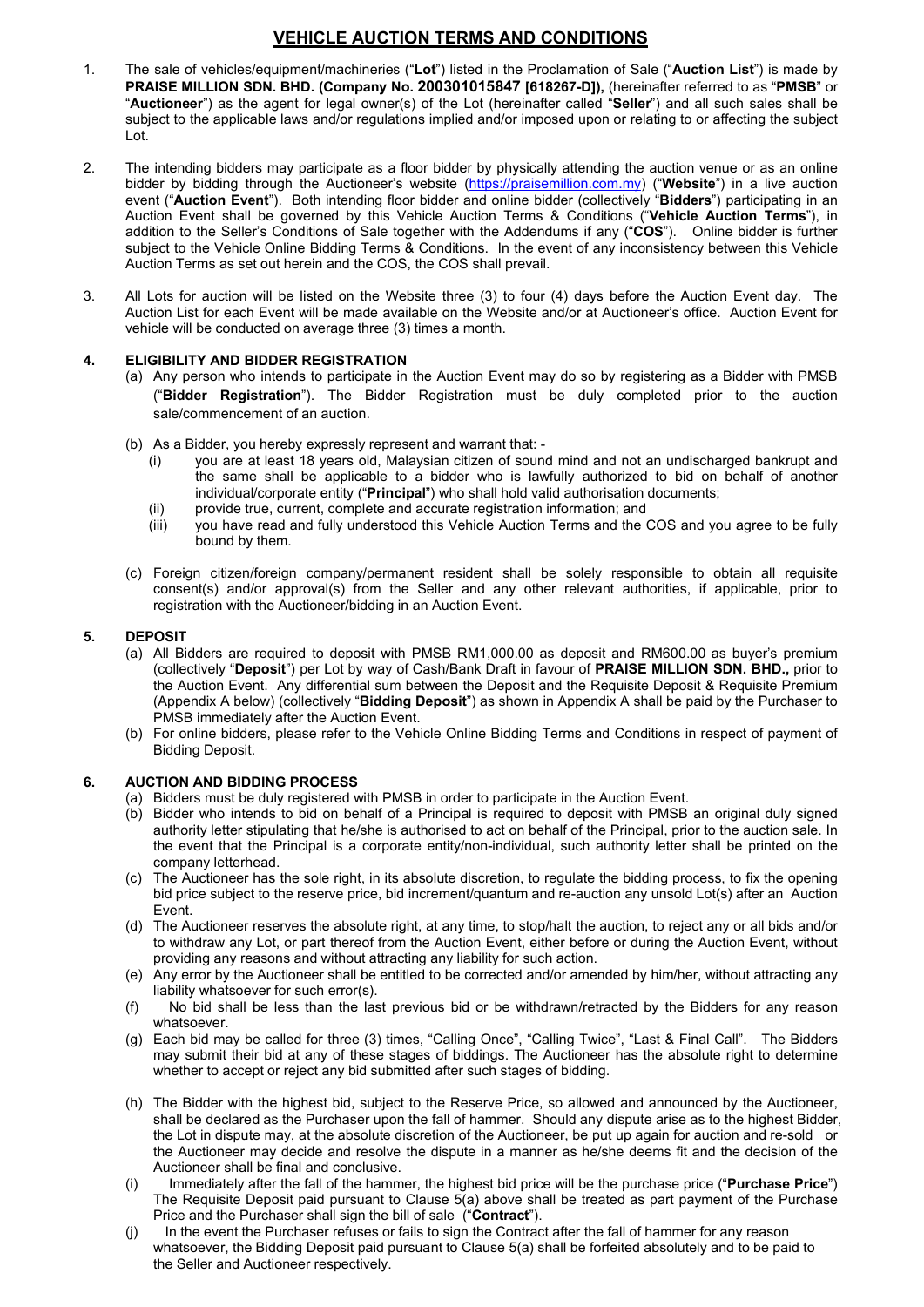- **VEHICLE AUCTION TERMS AND CONDITIONS**<br>uipment/machineries ("**Lot**") listed in the Proclamation of Sale ("**Auction List**") is made by<br>. **BHD. (Company No. 200301015847 [618267-D])**, (hereinafter referred to as "**PMSB**" or<br> **1.** The sale of vehicles/equipment/machineries ("Lot") listed in the Proclamation of Sale ("Auction List") is made by<br> **PRAISE MILLION SDN. BHD. (Company No. 200301015847 [618267-D])**, (hereinafter referred to as "PMSB" o **VEHICLE AUCTION TERMS AND CONDITIONS**<br>
The sale of vehicles/equipment/machineries ("Lot") listed in the Proclamation of Sale ("Auction List") is made by<br> **PRAISE MILLION SDN. BHD. (Company No. 200301015847 [618267-D])**, ( **YEHICLE AUCTION TERMS AND CONDITIONS**<br>The sale of vehicles/equipment/machineries ("Lot") listed in the Proclamation of Sale ("Auction List") is made by<br>**PRAISE MILLION SDN. BHD. (Company No. 200301015847 [618267-D])**, (h **VEHICLE AUCTION TERMS AND CONDITIONS**<br>The sale of vehicles/equipment/machineries ("Lot") listed in the Proclamation of Sale ("Auction List") is made by<br>**PRAISE MILLION SDN. BHD. (Company No. 200301015847 [618267-D])**, (he Lot.
- **2.** The sale of vehicles/equipment/machineries ("Lot") listed in the Proclamation of Sale ("Auction List") is made by<br> **PRAISE MILLION SDN. BHD. (Company No. 200301015847 [618267-D])**, (hereinafter referred to as "**PMSB VEHICLE AUCTION TERMS AND CONDITIONS**<br> **The sale of vehicles/equipment/machineries ("Lot")** listed in the Proclamation of Sale ("Auction List") is made by<br> **PRAISE MILLION SDN. BHD. (Company No. 200301015847 [618267-D])**, **VEHICLE AUCTION TERMS AND CONDITIONS**<br>The sale of vehicles/equipment/machineries ("Lot") listed in the Proclamation of Sale ("Auction List") is made by<br>**PARISE MILLION SDN. BHD.** (Company No. 200301015847 [618267-D]), (he **VEHICLE AUCTION TERMS AND CONDITIONS**<br> **The sale of vehicles/equipment/machineries ("Lot")** listed in the Proclamation of Sale ("Auction List") is made by<br> **PRAISE MILLION SDN. BHD. (Company No. 200301015847 [618267-D])**, **YEHICLE AUCTION TERMS AND CONDITIONS**<br> **The sale of vehicles/equipment/machineries ("Lot")** listed in the Proclamation of Sale ("Auction List") is made by<br> **PRAISE MILLION SDN. BHD. (Company No. 200301015847 [618267-D])**, **VEHICLE AUCTION TERMS AND CONDITIONS**<br>The sale of vehicles/equipment/machineries ("Lot") listed in the Proclamation of Sale ("Auction List") is made by<br>**PRAISE MILLION SON. BHD.** (Company No. 2003301015847 [618267-0]), (h **VEHICLE AUCTION TERMS AND CONDITIONS**<br>
The sale of vehicles/equipment/machineries ("Lot") listed in the Proclamation of Sale ("Auction List") is made by<br> **PRAISE MILLION SON. BHD.** (Company No. 200301015847 [618267-D]), ( **YEHICLE AUCTION TERMS AND CONDITIONS**<br> **PRAISE MILLION SDN. BHD.** (Company No. 200301015847 [618267-D]), (hereinafter referred to as "PMSB" or<br>
"Auctioneer") as the agent for legal owner(s) of the Lot (hereinafter called **YEHICLE AUCTION TERMS AND CONDITIONS**<br>The sale of vehicles/equipment/machineries ("Lot") listed in the Proclamation of Sale ("Auction List") is made by<br>**PRAISE MILLION SDN. BHD.** (Company No. 200301015847 [618267-D]), (he **VEHICLE AUCTION TERMS AND CONDITIONS**<br>The sale of vehicles/equipment/machineries ("Lot") listed in the Proclamation of Sale ("Auction List") is made by<br>**PRAISE MILLION SDN. BHD. (Company No. 200301015847 [618267-D])**, (he **ELENCE AUCTION TERMS AND CONDITIONS**<br>
1. The sale of vehicles/equipment/machineries ("Lot") listed in the Proclamation of Sale ("Auction List") is ma<br> **PRAISE MILLION SDN. BHD.** (Company No. 200301015847 [618267-D]), (her VEHICLE AUCTION TERMS AND CONDITIONS<br>
The sale of vehicles/equipment/machineries ("Lor") listed in the Proclamation of Sale ("Auction List") is made by<br> **PRAISE MILLION SDN. BHD. (Company No. 200301015847 [618287-D])**, (he **VEHICLE AUCTION TERMS AND CONDITIONS**<br>sale of vehicles/equipment/machineries ("Lot") listed in the Proclamation of Sale ("Auction List") is made by<br>liste MILLION SDN. BHD. (Company No. 200301015847 [618267-D]), (hereinaft **VEHICLE AUCTION TERMS AND CONDITIONS**<br>sale of vehicles/equipment/machineries ("Lot") listed in the Proclamation of Sale ("Auction List") is made<br>site MILLION SDN. BHD. (Company No. 200301015847 [618267-D]), (hereinater re The sale of vehicles equilibre in the COS UNITENT CHANGE THE SALE (ALCONDITION) (The sale of vehicles expressive present and warrant of sale (Auction List) is made by PRAISE MILLION SDN. BHD, (Company No. 200301015847 [61 sale of vehicles/equipment/machineries ("Lot") listed in the Proclamation of Sale ("Auction List") is made by<br>
NSE MILLION SON. BHD. (Company No. 200301015847 [618267-10]), (heriands redietered to as "PMSB" or<br>
eictioner') velines are latent of a bidder in the Procential of the Probability and its prior in the constrained to a set the property is the same by in the paper for the galometric) of the Lot (hereinafter cellers Shall be the applic in Corporation of the and the state of the state of the state of the state of the state of the angele and the state of the eneplicable laws and/or regulations implied and/or imposed upon or relating to or affecting the sub concer ) as the agging workers as a part in real controlled to the accurate complete and accurate transformation of the complete and accurate true (including the aution venue or as an online<br>
linetnding bidders may partici ert to the applicable laws and/or regulations implied and/or imposed upon or relating to or arecting the subject<br>
life by bidding through the accor sole of the physically attending the auction Venue or as an online<br>
for  $Q$ ng bidders may participate as a floor bidder by physically attending the auction venue or sidding through the Auctioneer's website (https://braisemillion.com.my) ("Website") in a cent shall be governed by this Venbicled Au The memorial paramosi may paramosi may paramosi memorial or the memorial paramosi memorial company in the automorphistical company in the solely company of the term of Cancel and online bidder (overlet). But therefore onli er by pixaling mrough me Auctioneer's website (milestone) in the anitom of the relevant any order that the power and the metalling provider in the Collectively "Bidders") participating in an<br>ion to the Seller's Conditions it (Auction Event Fix a both michange more backed and online backer (collectively "Biddets") particulate and the more of Sale to the Selective of the Belling Terms & Conditions in the weelet of any (CoOS). Online biddet is
- 

- 
- -
	-
	-
- 

- adminion to the Selien's Conditions of sale together with re-Addminion and the CoS and the sensitive of the Vehicle Online Bidding Terms & Conditions. In the event of any in Auction Terms as set out herein and the COS, the supertition for eventual of the light of the event of the event of the event of the properties are required to the state of the state of the state of the state of the state of the state of the state of the state of the sta (collectively "Develoption") and the USS, the USS shall prevail.<br>
Cols for ancient will be listed on the Website hree (3) to four (4) days before the Auction Event for<br>
Develoption (5) to four the Website and/or at Auction the metric controlline between the Website three (3) to four (4) days before the Auction Event day. The local sum between the Metric each Event with be made available on the Website and/or at Auctionear's office. Auction E os are alumine in states on the website metally on the Vebsite and/or at Auctioneer's office. Auction Event for<br>the level with a conducted on average three (3) times a month.<br>
Highler Collectively and Bidding Depart Regist Infinite Treation and the material wall be material and the website and the website by the Bilder with pMSB in<br>The Unit of the Auction Event Internal operation in the Auction Event may do so by registering as a Bidder with venice will be considered to average refer to the Auction Form and the Vehicle Terms and Bidder with PMSB<br>
(c) Any person who intends to participate in the Auction Event may do so by registering as a Bidder with PMSB<br>
(c) **SIBILITY AND BIDDER REGISTRATION**<br>
(**FBIdder Registration** the Auction Event may do so by registering as<br>
(**FBIdder Registration**"). The Bidder Registration must be duly completed prior<br>
(**FBIdder Registration**"). The Bid (a) Any person wino intensite parameteris on the Auction Event may obe soly registering as a stocker window (b) As a Bidder, wou hereby expressed and warrant that that the principle of the sale commencement of an auction.<br> (Blacker Registration The Bidder Registration must be duly completed pror to the auction<br>
(b) As a Bidder, you hereby expressly represent and warrant that:<br>
(i) you are all least 18 years of, Malaysin citizen of sound mind sale/commencement of an auction.<br>
(b) As a Bidder, you hereby expressively represent and warrant that:<br>
The same shall be applicable to a bidder who is lawfully authorized to bid on behalf on the sme shall be applicable to As a Bidder, you hereby expressly represent and warrant that:<br>
iy ou are at least 18 years old, Malaysian citizen of soundlind and not an undischarged bankrupt and<br>
the same shall be applicable to a bidder who is lawfully As Bidder, you hereby expressive represent and warrant that -<br>the same shall be applicable to a bidder who is lawfully authorized to bid on behalf of another<br>individual/corporate entity ("Pirthclipal") who shall hold valid (i) ware at least 18 years old, Malaysian citizen of sound mind and not an undischape<br>the same shall be applicable to a bidder who is lawfully authorized to bid on<br>individual/corporate entity ("**Principal**") who shall hold (in Sole) (in the Auction Exist) the applicable to a bidder who is lawfully authorized to bid on behalf  $\alpha$  in provide true, current, complete and accurate registration information; and<br>(ii) you have read and fully unders individual/corporate entity ("Principal is a corporate entity/non-individual autoriosition documents;<br>iii) you have read and fully understood this Vehicle Auction Terms and the COS and you agree to be fully<br>bound by them.<br> (iii) you have read and fully understood this Vehicle Auction Terms and the COS and you agree to be fully consent(s) and<br>
(c) Foreign otter-fivent comparaty permanent resident shall be solely responsible to obtain all requ bound by them.<br>Foreign citizen/foreign company/permanent resident shall be solely responsible to obtain all requisite<br>consent(s) and/or approval(s) from the Seller and any other relevant authorities, if applicable, pnor to Foreign citizen/foreign company/permanent resident shall be solely responsible to obtain all requisite<br>consent(s) and/or approxial(s) from the Seller and any other relevant authorities, if applicable, prior to<br>creatent(s) (c) Foreign others are equired that the below respect to obtain all the substitute of the Auction Event.<br>
(a) All Bidders are required to deposit with PMSB RM1,000.00 as deposit and RM600.00 as buyer's premium<br>
(c) All Bi consent(s) and/or approvality) from the Seller and any other relevant authorities, if applicable, prior to registration with the Auctioneer/bidding in an Auction Event.<br> **OSIT**<br>
All Elidders are required to deposit with PM registration with the Auctioneer/bidding in an Auction Event.<br>
(a) AII Bidders are required to deposit with PMSB RM1,000.00 as deposit and RM600.00 as buyer's premium<br>
(collectively "Deposit") per Lot by way of Cash/Bank D **DEPOSIT (give three standard for the standard FRANET (give the proposition of the function space of the calibratic Drap (circle three for three for three for three for three for three for the function space of the functio** All Bidders are required to deposit with PMSB RM1,000.00 as deposit and RM660.00 as bure's premium<br>the Auction Event. Any differential ann between the Deposit and the Reutaile Deposit A Reutails Perminim<br>(Appendix A below)
	-

- 
- 
- Event.
- 
- 
- whatsoever.
- 
- (collective)"Deposit") per Lot by way of GashBank Draft in favour of **PRAISE MILLION SDN. BHD.**<br>
the Auction Event. Any differential sum between the Deposit and the Requisite Deposit Submitted Premium<br>
(Appendix A below) ( (Appendix be the Bidders with the Functions) (New the Bidder with the bidders, please refer to the Vehicle Online Bidding Terms and Conditions in respect of payment of the Formin Bidding Deposit.<br>
AUCTION AND BIDDING PROCE PMS limmediately after the Auction Event Higher the Higher the Auction Event and Conditions in respect of payment of<br>Bidding Deposit.<br>The Regulare and Bidding Capositic Subsects with PMSB in order to participate in the Auc For online bidders, please refer to the Vehicle Online Bidding Terms and Conditions in respect of payment of<br>TION AND BIDDING PROCESS<br>Tiodices must be duly registered with PMSB in order to participate in the Auction Event. Bidding Deposit.<br>TriON AND BIDONNG PROCESS<br>
Thiode was moreover and the dispute of the Pincipal is required to deposit with PMSB an original duly signed<br>Bidder who intends to bid on behalf of a Pincipal is required to depo TION AND BIDDING PROCESS<br>
Bildders must be duly registered with PMSB in order to participate in the Auction Event.<br>
Bildders who intends to bid on behalf of a Principal is required to deposit with PMSB an original duly sig **All of the Hammer, the fall of the fall of the fall of the highest bid bid on behalf of the Principal is required to be<br>positive will be the fall of the fall of the Principal is trefined to the<br>positive of the purchase of** Bidders must be duly registered with PMSB in order to participate in the Auction Event.<br>Bidders who intends to bid on behall of a Principal is required to deposit with PMSB an original duly signed<br>authority letter stipulat Bidder who intends to bid on behalf of a Principal is required to deposit with PMSB an original duly signed the event that Perincipal is required to deposit with PMSB an original company letters had the event that Perincip authority letter stipulating that heckhie is authorised to act on behalf of the Pincipal, piror to the auction sale. In<br>the event that the Pincipal is a corporate entity/non-individual, such authority letter shall be print the event that the Principal is a corporate entity/non-indrividual, such authority letter shall be printed on the<br>company letterhead.<br>The Auctioneer has the sole right, in its absolute discrition, to regulate the bidding p company letterhead.<br>The Auctioneer has the sole right, in its absolute discretion, to regulate the bidding process, to fix the open<br>bid pirce subject to the reserve price, bid increment/quantum and re-auction any unsold Lo
- 
-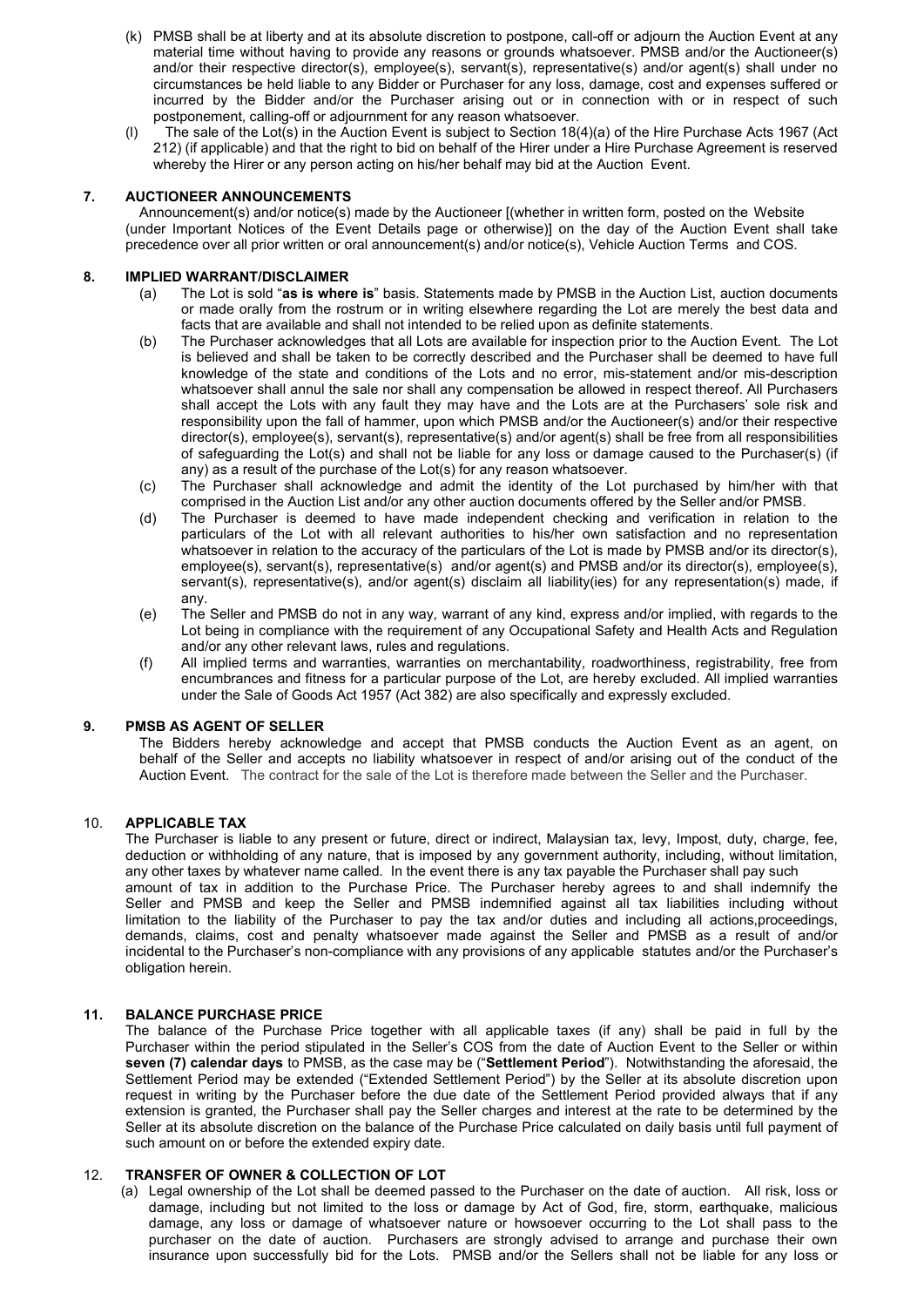- (k) PMSB shall be at liberty and at its absolute discretion to postpone, call-off or adjourn the Auction Event at any material time without having to provide any reasons or grounds whatsoever. PMSB and/or the Auctioneer(s PMSB shall be at liberty and at its absolute discretion to postpone, call-off or adjourn the Auction Event at any<br>material time without having to provide any reasons or grounds whatsoever. PMSB and/or the Auctioneer(s)<br>and PMSB shall be at liberty and at its absolute discretion to postpone, call-off or adjourn the Auction Event at any<br>material time without having to provide any reasons or grounds whatsoever. PMSB and/or the Auctioneer(s)<br>and PMSB shall be at liberty and at its absolute discretion to postpone, call-off or adjourn the Auction Event at any<br>material time without having to provide any reasons or grounds whatsoever. PMSB and/or the Auctioneer(s)<br>and PMSB shall be at liberty and at its absolute discretion to postpone, call-off or adjourn the Auction Event at any<br>material time without having to provide any reasons or grounds whatsoever. PMSB and/or the Auctioneer(s)<br>and PMSB shall be at liberty and at its absolute discretion to postpone, call-off or adjourn the Auction Event at any<br>material time without having to provide any reasons or grounds whatsoever. PMSB and/or the Auctioneer(s)<br>and (k) PMSB shall be at liberty and at its absolute discretion to postpone, call-off or adjourn the Auction Event at any<br>material time without having to provide any reasons or grounds whatsorver. PMSB and/or the Auctioneer(s PMSB shall be at liberty and at its absolute discretion to postpone, call-off or adjourn the Auction Event at any<br>material time without having to provide any reasons or grounds whatsolever. PMSB and/or the Auctioneer(s)<br>an PMSB shall be at liberty and at its absolute discretion to postpone, call-off or adjourn the Auction Event at any<br>material time without having to provide any reasons or grounds whatsoever. PMSB and/or the Auctioneer(s)<br>and (k) PMSB shall be at liberty and at its absolute discretion to postpone, call-off or adjourn the Aumaterial time without having to provide any reasons or grounds whatsoever. PMSB and/or and/or their respective director(s) PMSB shall be at liberty and at its absolute discretion to postpone, call-off or adjourn the Auction Event at any<br>material time without having to provide any reasons or grounds whatsoever. PMSB and/or the Auctioneer(s)<br>and (k) PMSB shall be at liberty and at its absolute discretion to postpone, call-off or adjourn the Auction Event at any<br>material time without having to provide any reasons or grounds whatsoever. PMSB and/or the Auctioneer(s (k) PMSB shall be at liberty and at its absolute discretion to postpone, call-off or adjourn the Auction Event at any<br>material time without having to provide any reasons or grounds whatsoever. PMSB and/or the Auctioneer(s (k) PMSB shall be at liberty and at its absolute discretion to postpone, call-off or adjourn the material time without having to provide any reasons or grounds whatsoever. PMSB and and/or their respective director(s), emp (a) PMSB shall be at liberty and at its absolute discretion to postpone, call-off or adjourn the Auction Event at any<br>material time without having to provide any reasons or grounds whatsoever. PMSB and/or the Auctioneer(s) B shall be at liberty and at its absolute discretion to postpone, call-off or adjourn the Auction Event at any<br>siral time without having to provide any reasons or grounds whatsoever. PMSB and/or the Auctioneer(s)<br>or their **EB** shall be at liberty and at its absolute discretion to postpone, call-off or adjourn the Auction Event at any<br>siral time without having to provide any reasons or grounds whatsoever. PMSB and/or the Auctioneer(s)<br>or the
	-

- 
- (b) PMSB shall be at liberty and at its absolute discretion to postpone, call-off or adjourn the Auction Event at any<br>material time without having to provide any reasons or grounds whatsoever. PMSB and/or the Auctioneer(s) **is b** shall be at liberty and at its absolute discretion to postpone, call-off or adjourn the Auction Event at any<br>shall time without having to provide any reasons or grounds whatsoever. PMSB and/or the Auctioneer(s)<br>or t iB shall be at liberty and at its absolute discretion to postpone, call-off or adjourn the Auction Event at any<br>strait time without having to provide any reasons or grounds whatsoever. PMSB and/or the Auctioneer(s)<br>or thei iB shall be at liberty and at its absolute discretion to postpone, call-off or adjourn the Auction Event at any shall time without having to provide any reasons or grounds whatsoever. PMSB and/or the Auctioneer(s) on their iB shall be at liberty and at its absolute discretion to postpone, call-off or adjourn the Auction Event at any<br>shall time without having to provide any reasons or grounds whatsoever. PMSB and/or the Auctioneer(s)<br>or their is shall be at liberty and at its absolute discretion to postpone, call-off or adjourn the Auction Event at any<br>sind time without hawing to provide any reasons or grounds whatsoever. PMSB and/or the Auctioneer(s)<br>or their is shall be at littlenty and at its absolute discretion to postpone, call-off or adjoint the Auction Event at any<br>is shall the without having to provide any reasons or grounds whatsoever. PMSB and/or the Auctioneer(s)<br>mist and time without having to provide any reasons or grounds whatsoever. PMSB and/or the Auctioneer(s) and the Auctioneer or or the lighted for any Biddet or Purchaser for any loss, damage, cost and expenses suffered or metal or their respective director(s), employee(s), servant(s), representative(s) and/or agent(s) stall under no the<br>papartements of the Bidder and/or the Purchaser for any loss, damage, cost and expenses suffered or<br>pronement, circumstances be held liable to any Bidder or Purchaser for any locs, damage, cost and expenses suffered or the Theorem is the Theorem in the Theorem is the main-of the range content caling-off or adjournment for any reaso red by the Bidder and/or the Purchaser arising out or in connection with or in respect of such<br>ponement, calling-off or adjournment for any reason whatsoever.<br>
e selle of the Lolt(s) in the Auction Eventis subject to Secti purchaser for and ending of the action in the purchase of the Device of the Hire Purchase Acts 1967 (Act<br>
212) (if applicable) and that the right to bid on behalf of the Hire under a Hire Purchase Agreement is reserved<br>
wh e sale of the Lot(s) in the Author Exeribation Exeribation (54(a) of the Hire Purchase Acts 967 (Act<br>
of trapplicable) and that the right to bid on behalf of the Hirer under a Hire Purchase Agreement is reserved<br>
eely the (if applicable) and that the right to bid on behalf of the Hire under a Hire Purchase Agreement is reserved<br>
WeER ANNOUNCEMENTS<br>
WEER ANNOUNCEMENTS<br>
WEER ANNOUNCEMENTS<br>
WEER ANNOUNCEMENTS<br>
MEER ANNOUNCEMENTS<br>
MEER ANNOUNCE reby the Hirer or any person acting on his/her behalf may bid at the Auction Event.<br>NEER AINNOLINGEMENTS<br>CONDENCINGENTS (and or the Event Details page or otherwise)) on the day of the Auction Event shall take<br>propertant No **NEER ANNOUNCEMENTS**<br>morement(s) and/or notice(s), made by the Auctioneer [(whether in written form, posted on the Website<br>moprotant Notices of the Event Details page or otherwise)) on the day of the Auction Event shall ta Announcementity) and/or notice(s) mate by the Auctioneer (whether in witter form, posted on the Website<br>
recedence over all prior witten or oral announcement(s) and/or notice(s). Vehicle Auction Terms and COS.<br>
(a) The Lot mportant Motics of the Event Details page or otherwisel) on the day of the Auction Event shall take<br>nice over all prior withten or oral announcement(s) and/or notice(s), Vehicle Auction List, auction documents<br>The Lot is s ice over all prior written or oral announcement(s) and/or notice(s), Vehicle Auction Terms and COS.<br> **WARRANYIDISCLAIMER**<br>
The Lot is sold **"as Is where is"** basis. Statements made by PMSB in the Auction List, auction docu **PLIED WARRANT/DISCLAIMER**<br>
(a) The Lot is solven is the statute of the statute of the statute of the statute of the statute of the statute of the statute of the statute of the statute of the statute of the statute of the WARRANT)DISCLAIMER<br>
WARRANTISCLAIMER<br>
The Lot is sold <sup>2</sup>as is where is" basis. Statements made by PMSB in the Auction List, auction documents<br>
or made orally from the rostum or in wirling eleswhere regarding the Lot are m The Lot is sold "as is when or is "basis. Statements made by PMSB in the Auction List, auction documents and for the Sale of Goods Act are available and shall not interded to be relied upon as definite statements.<br>The Purc fact that are available and shall not intended to be relied upon as definite statements. The Purchaser acknowledges that all Lots are available for inspection prior to the Auction Event<br>is believed and shall be taken to be (b) The Purchaser acknowledges that all closs are available for inspection prior to the Auction Event. The Let the conducts of the elects of the total increase that and conducts of the Lots and no error, mis-statement and is believed and shall be taken to be correctly described and the Purchaser shall o deemed to have full considerer shall accept the Lust and ny compensation be allowed in respect thereof. All Purchasers shall accept the Lus knowledge of the state. The contract for the lots and to reform in statement and/or mis-description<br>shall accept the Lots with any fault they may have and the Lots are at the Purchasers' sole risk and<br>responsibility upon t
	-
- any. responsibility upon the fall of harmner, upon which PMSB and/or the Auctioneer(s) and<br>or director(s), employee(s), servant(s), representative(s) and/or agent(s) shall be free from<br>or of safeguarding the Lot(s) and shall no
	-
	-

direction(s), employee(s), servantis, empesentative(s)) and/or angent(s) should be free form all responds to the purchase of the Lot(s) for any present whisteles of the Lot(s) for any present of the purchase of the Lot (s) or sale growther ball including the Lotter is important the big that is the forecast or any loss or damage caused to the Purchaser (c) (if<br>ne Purchaser shall acknowledge and admit the identity of the Lot purchase by him/he (c) The Purchase of the Lotistic formula and results of the total of the event there is any taxe of the Control List and or any the results of the Relation of the Section of the Section distance is the event to the contro (c) The Purchaser is identity and addition to the identity of the Lui purchased by him/her with the compressed in the Auction List and or any other and or perchase Price. The particles is to see mend to have made independ (d) The Putchaser is decreased the beat and the Seller and or the Seller and the Seller and the Seller and the Delta against the Letwith all relations of the Lot with all relations of the Lot with sall relations of the Del (d) The Purchaser is idented to have made independent checking and verification in relation to the method to the accuracy of the particulars of the Lot is made by PMSB and/or is directory.<br>
whatsoever in relation to the ac particulars of the Lot with all relevant authorities to hisher own satisfaction and no representation<br>employee(s), employee(s), employee(s), and/or agent(s) and/or agent(s) and/or agent(s) decorations are proposed in the e whatsover in relation to the accuracy of the particulars of the Lot is made by PMSB and/or its director(s), employeels), espectable is non-complished in the accuracy of the particular of any application in the Seler and PM employee(s), servant(s), representative(s) and/or agent(s) disclaim all liability(ies) for any property.)<br>
(e) The Seller and PMSB do not in any way, warrant of any kind, express and/or implies<br>
(e) The Seller and PMSB do (e) The Seller and PMSB as not in any way warrant of any icostal mand and the state and point in the state and resultations.<br>
Lot being in complisionce with the requirement of any Occupational Safety and Health Acts and Re Lot being in compliance with the requirement of any Docupational Safety and Health Acts and Regulation<br>
(f) All implied terms and warranties, warranties on merchantablity, roadworthiness, registrability, free form<br>
encumbr end of the methematics, nues and frequency and report of the lot, are hereby excluded. All implied terms on the period of a particulate purpose of the Lot, are hereby excluded. All implied terms on the final of the period (f) All implied terms and warranties, warranties on merchantability, roadworthiness, registrability, free form<br>or encombances and filtness for a particular purpose of the Lot, are hereby excluded. All implied warranties<br>un encumbrances and filtness for a particular purpose of the Lot, are hereby excluded. All implied warranties<br>
PMSB AS AGENT OF SELLER<br>
The Bidders hereby acknowledge and accept that PMSB conducts the Auction Event as an agen under the Sale of Goods Act 1957 (Act 382) are also specifically and expressive excluded.<br> **PMS BS AGENT OF SELLER**<br>
The Bidders hereby acknowledge and accept that PMSB conducts the Auction Event as an agent, on<br>
The Bidde **PMSB AS AGENT OF SELLER**<br>The Bidders hereby acknowledge and accept that PMSB conducts the Auction Event as an agent, on<br>the bidders hereby acknowledge and accepts of fluid by thatsoever in respect of and/or arising out of **PMSB A AGENT OF SELLER**<br>
The Bidders hereby acknowledge and accept that PMSB conducts the Auction Event as an agent, on<br>
behalf of the Seller and accepts no liability whatsolver in respect of andoro raising out of the con The Biolders hereby acknowledge and accept that PMSB conducts the Auction Event as an agent, on<br>The Biolders free the extended extended extended and the Purchase Chandre and the probability when the Auction Event The contr Auction Event. The contract for the sale of the Lot is therefore made between the Seller and the Purchaser.<br>
The Purchaser is lable to any present or future, direct or indirect, Malaysian tax, levy, Impost, duty, charge, f APPLICABLE TAX<br>The Purchaser is liable to any present or future, direct or indirect, Malaysian tax, levy, Impost, duty, charge, fee,<br>devotion or withholding of any nature, that is imposed by any government authority, inclu **PLICABLE TAX**<br>
Purchaser is liable to any present or future, direct or indirect, Malaysian tax, levy, Impost, duty, charge, fee,<br>
Purchaser is liable to any metalled. In the event there is any tax payable the Purchase Pic **•• LCABLE TAX** is a pay or Peach any present or future, direct or indirect, Malaysian tax, levy, Impost, duty, charge, fee, uction or withholding of any nature, that is imposed by any government authority. Including, with Purchaser is liable to any present or future, direct or indirect, Malaysian tax, levy, Impost, duty, charge, fee,<br>uction or withholding of any nature, that is imposed by any government authority, including, without limitat

uction or withholding of any nature, that is imposed by any government authority, including, without limitation, outor of tax in addition or the Purchase Price. The Purchaser therethy agrees to and shall internative the an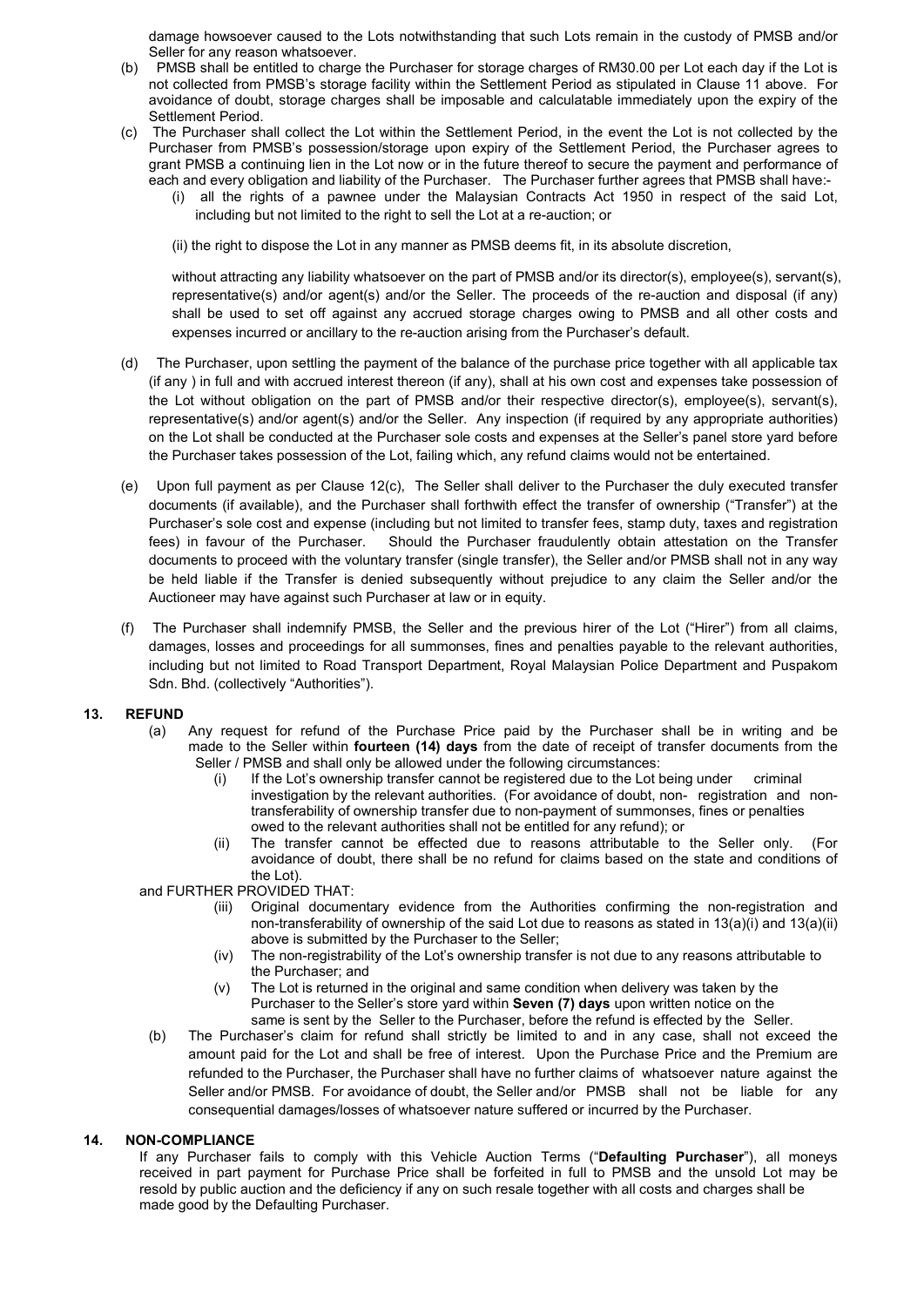- damage howsoever caused to the Lots notwithstanding that such Lots remain in the custody of PMSB and/or<br>Seller for any reason whatsoever.<br>PMSB shall be entitled to charge the Purchaser for storage charges of RM30.00 per Lo damage howsoever caused to the Lots notwithstanding that such Lots remain in the custody of PMSE<br>Seller for any reason whatsoever.<br>PMSB shall be entitled to charge the Purchaser for storage charges of RM30.00 per Lot each damage howsoever caused to the Lots notwithstanding that such Lots remain in the custody of PMSB and/or<br>
Seller for any reason whatsoever.<br>
(b) PMSB shall be entitled to charge the Purchaser for storage charges of RM30.00 damage howsoever caused to the Lots notwithstanding that such Lots remain in the custody of PMSB and/or<br>Seller for any reason whatsoever.<br>PMSB shall be entitled to charge the Purchaser for storage charges of RM30.00 per Lo damage howsoever caused to the Lots notwithstanding that such Lots remain in the custody of PMSB and/or<br>Seller for any reason whatsoever.<br>
PMSB shall be entitled to charge the Purchaser for storage charges of RM30.00 per L damage howsoever caused to the Lots notwithstanding that such Lots remain in the custody<br>Seller for any reason whatsoever.<br>
PMSB shall be entitled to charge the Purchaser for storage charges of RM30.00 per Lot ead<br>
not col damage howsoever caused to the Lots notwithstanding that such Lots remain in the custody of PMSB and/or<br>Seller for any reason whatsoever.<br>(b) PMSB shall be entitled to charge the Purchaser for storage charges of RM30.00 pe damage howsoever caused to the Lots notwithstanding that such Lots remain in the custody of PMSB and/or<br>Seller for any reason whatsoever.<br>PMSB shall be entitled to charge the Purchaser for storage charges of RM30.00 per Lo damage howsoever caused to the Lots notwithstanding that such Lots remain in the custody of PMSB and/or Seller for any reason whatsoever.<br>
PMSB shall be entitled to charge the Purchaser for storage charges of RM30.00 per L damage howsoever caused to the Lots notwithstanding that such Lots remain in the custody of PMSB and/or<br>Seller for any reason whatsoever.<br>
PMSB shall be entitled to charge the Purchaser for storage charges of RM30.00 per L mage howsoever caused to the Lots notwithstanding that such Lots remain in the custody of PMSB and/or<br>er for any reason whatsoever.<br>SIS shall be entitled to charge the Purchaser for storage charges of RM30.00 per Lot each is howsoever caused to the Lots notwithstanding that such Lots remain in the custody of PMSB and/or<br>or any reason whatsoever.<br>Since the Purchaser for storage charges of RM30.00 per Lot each day if the Lot is<br>sected from PM
- -

nage howsoever caused to the Lots notwithstanding that such Lots remain in the custody of PMSB and/or<br>er for any reason whatsoever.<br>MSB shall be entitled to charge the Purchaser for storage charges of RM30.00 per Lot each nage howsoever caused to the Lots notwithstanding that such Lots remain in the custody of PMSB and/or<br>er for any reason whatsoever.<br>So shall be entitled to charge the Purchaser for storage charges of RM30.00 per Lot each d ange howsoever caused to the Lots notwithstanding that such Lots remain in the custody of PMSB and/or<br>er for any reason whatsoever.<br>SSB shall be entitled to charge the Purchaser for storage charges of RM30.00 per Lot each nage howsoever caused to the Lots notwithstanding that such Lots remain in the custody of PMSB and/or<br>er for any reason whatsoever.<br>Shall be entitled to charge the Purchaser for storage charges of RM30.00 per Lot each day

- nage howsoever caused to the Lots notwithstanding that such Lots remain in the custody of PMSB and/or<br>ref for any reason whatsoever.<br>The BSS shange the Purchaser for storage charges of RM30.00 per Lot each day if the Lot i damage howsever caused to the Lots notwithstanding that such Lots remain in the custody of PMSB and/or<br>
Select for any reason whistsoever. the Purchaser for storage charges of RM30.00 per Lot each day if the Lot is<br>
(b) P dramage howsoever caused to the Lots notwithstanding that such Lots remain in the custody of PMSB and/or<br>Seller for any reason whatsoever.<br>
PMSB's and/or storage the Purchaser for storage charges of RM30.00 per Lot each da damage howsoever caused to the Lots norwithstanding that such Lots remain in the custody of PMSB and/or<br>Seller for any reason whatsoever.<br>
PMISB short collected form PMSB is storage facility within the Sellement Pendo as s damage howsever caused to the Lots notwithstanding that such Lots remain in the custody of PMSB and/or FMSB shall be entitled to charge the Purchaser for storage charges of RM30.00 per Lot each day if the Lot is not collec damage howsever caused to the Lots notwithstanding that such Lots remain in the custody of PMSB and/or<br>
Peller for any reason whatsoever.<br>
Poller and conducted be entirely do that the Purchaser for storage charges of RM30. Seller for any teason whistosever.<br>
FIMSB shall be entitled to charge the Purchaser for storage charges of RM30.00 per Lot each day if the Lot is<br>not collected from PMSB's storage facility within the Settlement Period as s not collected from PMSB's abrorel and in Describtent Period as sliptaid in Clause 11 above. For<br>estiment Period, in the event the Lot is not collected by the<br>Seltement Period, in the event the Lot is not collected by the<br>P
- available in the Purchase intered in the Sellement Period in the search to the Bevent the Purchaser shall for the Devil-<br>The Purchaser shall collect the Lot within the Sellement Period in the event the Lot is a not collect Stampar Hendel is the Lot internet Period, in the event In Collected by the Drawin Constant Hendel including plane and PAMSB anothinal plane have the promotion of the most and the promotion of the promotion of the promotio Purchaser from PMSBS possession/dinapage upon expiry of the Settement Period. the Purchaser agrees to proper transfer fraudulently of the Settement Period. the Purchaser agrees to exceed the attestation of the attestance o grant PMSB a continuing lien in the Lot now or in the fulure thereof to secure the payment and performance of<br>colume technique in the standary obligation and liability of the Purchaser. The Purchaser further agrees that PM each and every obligation and liability of the Purchaeser The Purchaeser further agrees that PMSS shall have:<br>
(i) all the right to dispose the Lot in any manner as PMSB deems fit, in its absolve disserted of the said Lot, (i) all the rights of a pawnee under the Malaysian Contracts Act 1950 in respect of the said Lot, all the rights of a pawnee under the Malaysian Contracts Act 1950 in respect of the said Lot, (ii) the right to dispose the (ii) the right to dispose the Lot in any manner as PMSB deems fit, in its absolute discretion,<br>without attracting any liability whatsoever on the part of PMSB and/or its director(s), employee(s), servant(s),<br>representativ (ii) the right to dispose the Lot in any manner as PMSB deems fit, in its absolute discretion,<br>without all tracting any liability whatsover on the part of PMSB and/or is director(s), employee(s), servant(s),<br>representativ without attracting any liability whatsoever on the part of PMSB and/or its director(s), employee(s), servant(s), and<br>all but used to as dot agent(s) and/or the Seller. The procoeds of the re-auction and disposal (if any)<br>s whomen under the particular and the particular and the Particular and disposal (spendaltively), and/or agent(s) and/or the Seller. The proceeds of the re-auction and disposal (shall be used to set off against any accrued s shall be used to set off against any accrued strage charges owing to<br>
shall be used to set off against any accrued strage charges owing to<br>
(d) The Purchaser, upon settling the payment of the balance of the purchase prior<br> expenses incurred or ancillary to the re-auction arising from the Purchaser's default.<br>The Purchaser, upon settling the payment of the balance of the purchase price together with all applicable tax<br>
(if any) in full and wi Purchaser, upon sellting the payment of the balance of the purchase price together with all applicable tax<br>
in full and with accound interset theoreon (if any), shall at his own cost and expenses take possession of<br>
the wi urchaser, upon sellting the payment of the balance of the purhase price together with all applicable taxel<br>uniful and with accrued interest thereon (if any), shall at his own cost and expenses take possession of<br>without ob full and with accrued interest therenon (if any), shall at his own cost and expenses take possession of<br>the dubt and with correlate the reducted in the USB and/or the interiver respective directors), employee(s), emevativ obligation on the part of PMSB and/or their respective director(s), employee(s), servant(s), and/or agent of a Seller. Any impercion (if required by any appropriate authorities) and expends and expenses at the Seller's pan or and a moder and the Purchase Price paid by the Purchase or shown and or and both and dot agent(s) and/or the Seller. Any inspection (if required by any appropriate authorities) ee conducted at the Purchaser soles cand e a annul and particle and the Durchase Finding and Appelvia and the Seleir's particle by any supportione and the relevant and the lot, falling which, any refund claims would not be entertained.<br>These possession of the Lot, share to content Purconaser sole costs and expenses at the seller's parent store is property and the particular above is a the seller to the Purchaser the duly secured transfer cannot as per Clause 12(c). The Seller shall kes possession of the Lot, tailing which, any retund claims would not be entertained.<br>
and the altric shall defiver to the Purchaser the duly executed transfer<br>
arialable), and the Purchaser shall of thwith effect the tran ent as per Clause 12(c), The Seller shall deliver to the Purchaser the duly execute<br>valiable), and the Purchaser shall forthwith effect the transfer of ownership ("Transfe<br>cost and expense (including but not limited to tra Upon tuli payment as per Ualise 12(c). The Seller snall devive to the Purchase the duy executed transfer of the payments (f available), and the Purchaser shall forthwith effect the transfer of ownership ("Transfer") at the (if waliable), and the Purchaser shall forthwith effect the transfer of comership ("Transfer") at the spoces we so to concel with the fect the transfer (singlet transfer (singlet transfer some order of the Purchaser. Shoul r cost and expense (including but not limited to transfer fees, atampt duty, taxes and registration<br>of of the Purchaser. Should the Purchaser frauduently obtain attestiation on the Transfer<br>oceed with the voluntary transfe of the Purchaser. Should the Purchaser fraudulently obtain a ttestation on the Transfer<br>occeed with the voluntary transfer (single transfer), the Seller and/or PMSB shall not in any way<br>the Transfer is denied subsequently
	- is to proceed with the voluntary transfer (single transfer), the Seller and/or PMSB shall not in any way<br>helse if the Transfer is denied subsequently without brejudice to any claim the Seller and/or the<br>may have against su the Transfer is denied subsequently without prejudice to any claim the Seller and/or the<br>the Transfer is denied subsequently without prejudice to any claim the Seller and/or the<br>anve against such Purchaser at law or in equ (v) The move of the Collect of the Collect and the original and same and procedure in the Collect informal conditions, the Seller and the previous hirer of the Lot ("Hirer") from all claims, losses and proceedings for all

- -
	-

- 
- 
- 
- may early expension Furchaser at law or in equity.<br>
Shall indemmity PMSB, the Seller and the previous hirer of the Lot ("Hirer") from all claims,<br>
shall proceedings for all summonses, fines and penalties payable to the rel shall indemnify PMSB, the Seller and the previous hirer of the Lot ("Hirer") from all claims, and proceedings for all summonses, fines and penalties payable to the relevant authorities, and incrosedings for all summonses, The Purchaser shall strictly the Structure is the player of the Device in the Device Channel Channel Scheme Channel Channel Channel Channel Channel Scheme Scheme Scheme Scheme Scheme Scheme Scheme Scheme Scheme Scheme Sche by the Lots can provide the Purchase Price and persuase wave to use tenevant and Puspakon<br>
Any request for refund of the Purchase Price paid by the Purchaser shall be in writing and be<br>
hd. (collectively "Authorities").<br>
A refunded to the Purchaser bits elected to the Purchaser shall have no further and the Ruchaser falls to the limit and the Purchase Price paid by the Purchaser shall be in writing and be have no further experiments. The Sel Ind. (collectively xuationius ).<br>
Any request for refund of the Purchase Price paid by the Purchase shall be in writing and be Seller / PMSB and shall fourteen (14) days from the date of receipt of transfer cocurrents from Any request for refund of the Purchase Price paid by the Purchaser shall be in writing and be made to the Seller (Mind and the faste of receipt of turnsfer conserver and the made of receipt of turnsfered or inclusions of t The particular of the Chinamic Chinese that the proposition of the Seller within fourteen (14) days from the date of receipt Seler Within fourteen (14) days from the date of receiption (ii) If the Lot's avenuation by the a If  $\frac{1}{2}$  and FD and shall can't purchase the following criterisation of the following complete the following complete the following the electron of details to complete the state of the state of the research in the tra Fig. 2011 The Lot is even the feature of the content part part part is the payment of summations (for a model to the payment of summations and non-transfered in the lot of the content of summations and non-<br>transference in <sup>17</sup> investigation by the relavant authorities. For avoidate of doubl, nor-<br>
transforability of ownership transfor due on on-payment of summonses fines or penalties<br>
(ii) The transfor authorities shall not be eithed of or maritetability of ownership transfer due to mon-payment of summonses, fines or penalties<br>
(ii) the transfer cannot ubreathed to the chelled for any refund); or<br>
(iii) The transfer cannot ube deficed due to reasons attribut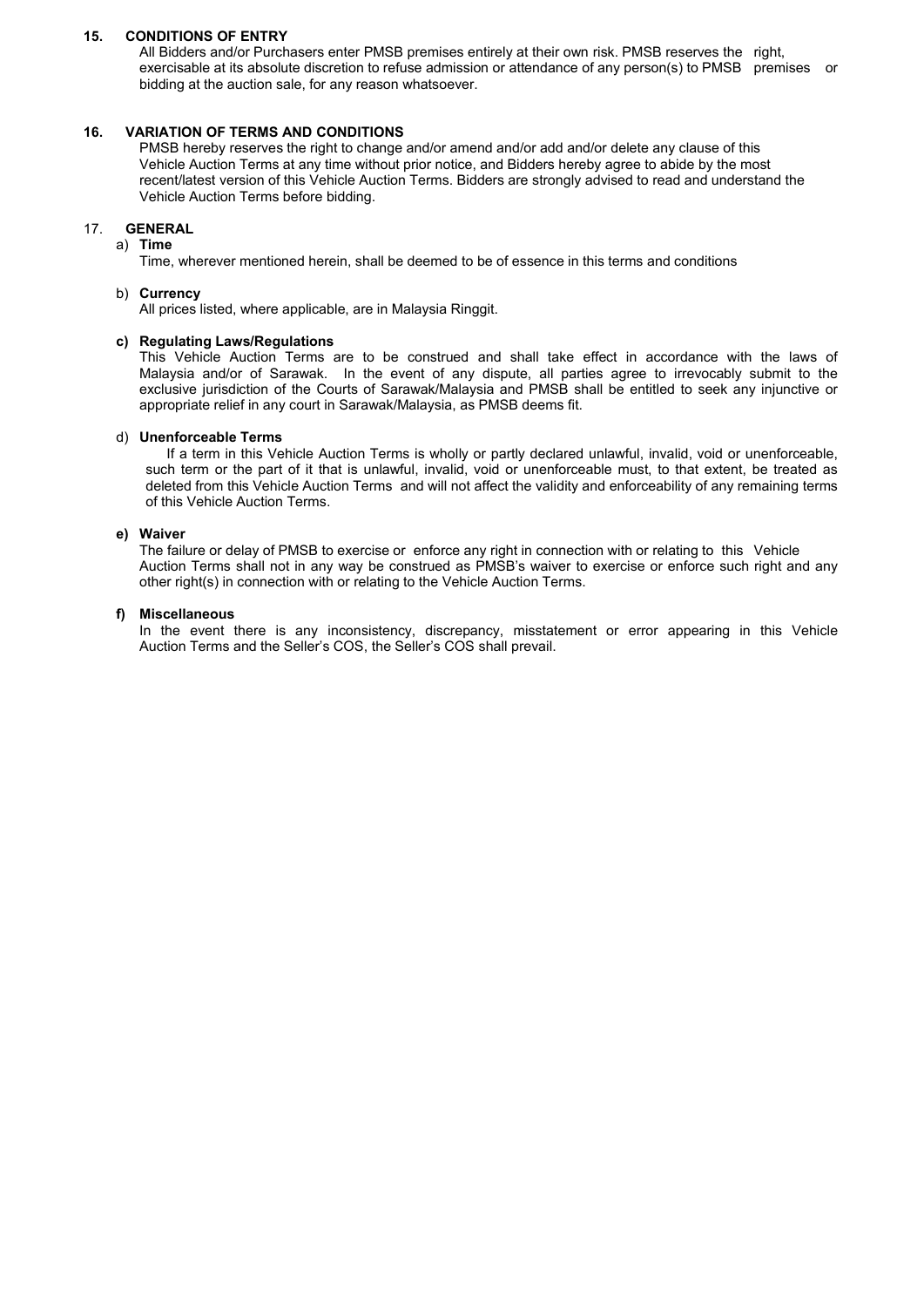15. CONDITIONS OF ENTRY<br>
All Bidders and/or Purchasers enter PMSB premises entirely at their own risk. PMSB reserves the<br>
exercisable at its absolute discretion to refuse admission or attendance of any person(s) to PMSB<br>
b **ONDITIONS OF ENTRY**<br>All Bidders and/or Purchasers enter PMSB premises entirely at their own risk. PMSB reserves the right,<br>exercisable at its absolute discretion to refuse admission or attendance of any person(s) to PMSB **ONDITIONS OF ENTRY**<br>All Bidders and/or Purchasers enter PMSB premises entirely at their own risk. PMSB reserves the right,<br>exercisable at its absolute discretion to refuse admission or attendance of any person(s) to PMSB **DIMITIONS OF ENTRY**<br>All Bidders and/or Purchasers enter PMSB premises entirely at their own risk. PMSB reserves the right,<br>exercisable at its absolute discretion to refuse admission or attendance of any person(s) to PMSB

**15. CONDITIONS OF ENTRY**<br>
All Bidders and/or Purchasers enter PMSB premises entirely at their own risk. PMSB reserves the right,<br>
exercisable at its absolute discretion to refuse admission or attendance of any person(s) t **ANDITIONS OF ENTRY**<br>All Bidders and/or Purchasers enter PMSB premises entirely at their own risk. PMSB reserves the right,<br>exercisable at its absolute discretion to refuse admission or attendance of any person(s) to PMSB **NAID EM CONDUM SOF ENTRY**<br>All Bidders and/or Purchasers enter PMSB premises entirely at their own risk. PMSB reserves the right,<br>exercisable at its absolute discretion to refuse admission or attendance of any person(s) to **CONDITIONS OF ENTRY**<br>All Bidders and/or Purchasers enter PMSB premises entirely at their own risk. PMSB reserves the right,<br>exercisable at its absolute discretion to refuse admission or attendance of any person(s) to PMSB **DINDITIONS OF ENTRY**<br>All Bidders and/or Purchasers enter PMSB premises entirely at their own risk. PMSB reserves the right,<br>exercisable at its absolute discretion to refuse admission or attendance of any person(s) to PMSB **NIDITIONS OF ENTRY**<br>All Bidders and/or Purchasers enter PMSB premises entirely at their own risk. PMSB reserves the right,<br>exercisable at its absolute discretion to refuse admission or attendance of any person(s) to PMSB **RIATION OF TERMS AND CONDITIONS**<br>
WASB hereby reserves the right to change and/or amend and/or add and/or delete any clause of this<br>
entical Auction Terms at any time without prior notice, and Bidders hereby agree to abid

# 17. GENERAL

a) Time

## b) Currency

**DINDITIONS OF ENTRY**<br>All Bidders and/or Purchasers enter PMSB premises entirely at their own risk. PMSB reserves the right,<br>exercisable at its absolute discretion to refuse admission or attendance of any person(s) to PMSB **CONDITIONS OF ENTRY**<br>
All Bidders and/or Purchasers enter PMSB premises entirely at their own risk. PMSB reserves<br>
exercisable at its absolute discretion to refuse admission or attendance of any person(s) to PM<br>
bidding a **DNDITIONS OF ENTRY**<br>All Bidders and/or Purchasers enter PMSB premises entirely at their own risk. PMSB reserves the right,<br>exercisable at its absolute discretion to relise admission or attendance of any person(s) to PMSB **NIDITIONS OF ENTRY**<br>All Bidders and/or Purchasers enter PMSB premises entirely at their own risk. PMSB reserves the right,<br>exercisable at its absolute discretion to refuse admission or attendance of any person(s) to PMSB **DNDITIONS OF ENTRY**<br>All Bidders and/or Purchasers enter PMSB premises entirely at their own risk. PMSB reserves the right,<br>exercisable at tis absolute discretion to refuse admission or attendance of any person(s) to PMSB **DINDITIONS OF ENTRY**<br>All Bidders and/or Purchasers enter PMSB premises entirely at their own risk. PMSB reserves the right,<br>All Bidders and/or Purchasers for any reason viriates admission or attendance of any person(s) to CONDITIONS OF ENTERY<br>
CONDITIONS OF ENTERN THE STONG OF CONDITIONS<br>
IS UNERGONDENT ON THE STONG CONDITIONS<br>
UNERGONDING THE STONG CONDITIONS<br>
UNERGONDING THE STONG CONDITIONS<br>
UNERGONDING OF TERMS AND CONDITIONS<br>
UNERGONDE idders and/or Purchasers enter PMSB premises entirely at their own risk. PMSB reserves the right,<br>cisable at its absolute discretion to retuse admission or attendance of any person(s) to PMSB premises or<br>ing at the auction such that is absolute discrelation or the part of its under and will not an extend in the part of the part of the part of the part of the part of the part of the part of the part of the part of the part of the part of the RIATION OF TERMS AND CONDITIONS<br>WAS hereby reserves the fight to change and/or amend and/or add and/or delete any clause of this<br>Member Auction Terms at any time without prior notice, and Bilders hereby agree to abide by t VARIATION OF TERMS AND CONDITIONS<br>
WEST PRESS PRESS TO CONDITIONS<br>
WEST PRESS PRESS TO THE SURVEY TO THE SURVEY TO THE VERICLE Verifield Auction Terms at any time without prior notice, and Bidders hereby agree the verifiel PMSB hereby reserves the right tis change and/or amend and/or dated and/or delay to the solet by the most<br>vehicle Auction Terms at any time without prior notice, and Bildders hereby agree to abide by the most<br>vehicle Aucti Vehicle Auction Terms at any time without prior notice, and Bidders hereby agree to abide by the most<br>recent/latest version of this Vehicle Auction Terms. Bidders are strongly advised to read and understand the<br>Vehicle Auc recent/lately tersion of this Vehicle Auction Terms. Bidders are strongly advised to read and understand the<br>Time, wherever mentioned herein, shall be deemed to be of essence in this terms and conditions<br>Time, wherever men **GENERAL**<br>
i Time, wherever mentioned herein, shall be deemed to be of essence in this terms<br>
iDime, wherever mentioned herein, shall be deemed to be of essence in this terms<br>
All prices listed, where applicable, are in Ma ENEAL<br>
ITIme, wherever mentioned herein, shall be deemed to be of essence in this terms and conditions<br>
Currency<br>
Currency<br>
All prices listed, where applicable, are in Malaysia Ringgit.<br>
Regulating Laws/Regulations<br>
Malays Time, wherever mentioned herein, shall be deemed to be of essence in this terms and conditions<br>Currency<br>All prices listed, where applicable, are in Malaysia Ringgit.<br>All prices listed, where applicable, are in Malaysia Rin